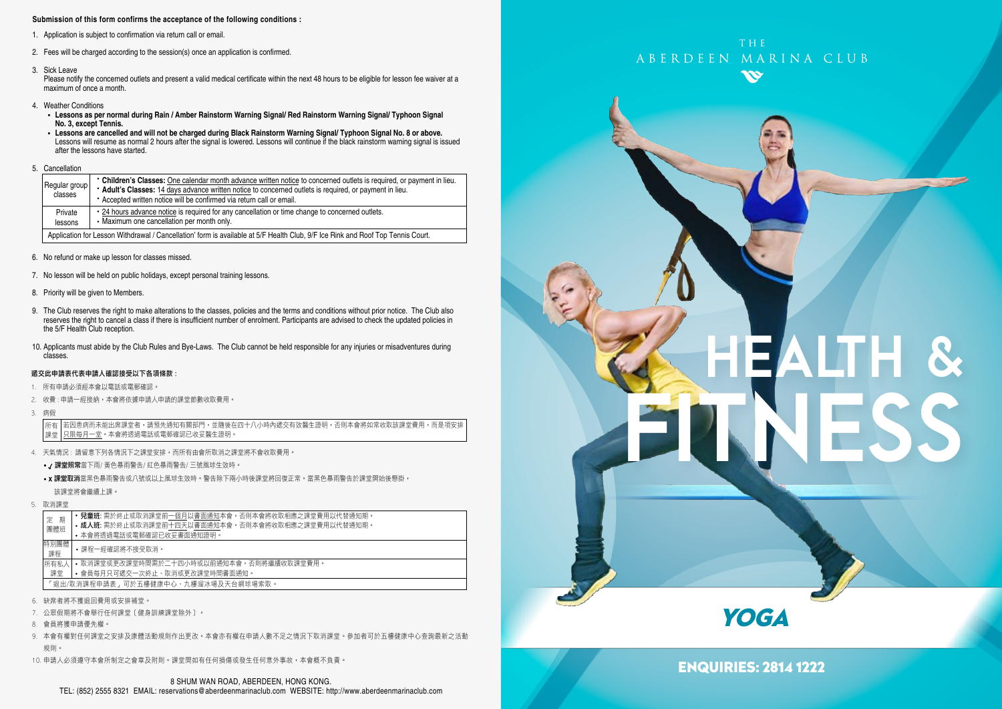#### **Submission of this form confirms the acceptance of the following conditions :**

- 1. Application is subject to confirmation via return call or email.
- 2. Fees will be charged according to the session(s) once an application is confirmed.
- 3. Sick Leave

Please notify the concerned outlets and present a valid medical certificate within the next 48 hours to be eligible for lesson fee waiver at a maximum of once a month.

- 4. Weather Conditions
	- **Lessons as per normal during Rain / Amber Rainstorm Warning Signal/ Red Rainstorm Warning Signal/ Typhoon Signal No. 3, except Tennis.**
	- **Lessons are cancelled and will not be charged during Black Rainstorm Warning Signal/ Typhoon Signal No. 8 or above.** Lessons will resume as normal 2 hours after the signal is lowered. Lessons will continue if the black rainstorm warning signal is issued after the lessons have started.
- 5. Cancellation

| Regular group<br>classes                                                                                                        | • Children's Classes: One calendar month advance written notice to concerned outlets is required, or payment in lieu.<br>* Adult's Classes: 14 days advance written notice to concerned outlets is required, or payment in lieu.<br>• Accepted written notice will be confirmed via return call or email. |  |  |  |
|---------------------------------------------------------------------------------------------------------------------------------|-----------------------------------------------------------------------------------------------------------------------------------------------------------------------------------------------------------------------------------------------------------------------------------------------------------|--|--|--|
| Private<br>lessons                                                                                                              | • 24 hours advance notice is required for any cancellation or time change to concerned outlets.<br>• Maximum one cancellation per month only.                                                                                                                                                             |  |  |  |
| Application for Lesson Withdrawal / Cancellation' form is available at 5/F Health Club, 9/F Ice Rink and Roof Top Tennis Court. |                                                                                                                                                                                                                                                                                                           |  |  |  |

- 6. No refund or make up lesson for classes missed.
- 7. No lesson will be held on public holidays, except personal training lessons.
- 8. Priority will be given to Members.
- 9. The Club reserves the right to make alterations to the classes, policies and the terms and conditions without prior notice. The Club also reserves the right to cancel a class if there is insufficient number of enrolment. Participants are advised to check the updated policies in the 5/F Health Club reception.
- 10. Applicants must abide by the Club Rules and Bye-Laws. The Club cannot be held responsible for any injuries or misadventures during classes.

#### 遞交此申請表代表申請人確認接受以下各項條款 :

- 1. 所有申請必須經本會以電話或電郵確認。
- 2. 收費 : 申請一經接納,本會將依據申請人申請的課堂節數收取費用。
- 3. 病假

若因患病而未能出席課堂者,請預先通知有關部門,並隨後在四十八小時內遞交有效醫生證明,否則本會將如常收取該課堂費用,而是項安排 只限每月一堂。本會將透過電話或電郵確認已收妥醫生證明。 所有 課堂

- 4. 天氣情況 : 請留意下列各情況下之課堂安排,而所有由會所取消之課堂將不會收取費用。
	- / 課堂照常當下雨/ 黃色暴雨警告/ 紅色暴雨警告/ 三號風球生效時。
	- x 課堂取消當黑色暴雨警告或八號或以上風球生效時。警告除下兩小時後課堂將回復正常。當黑色暴雨警告於課堂開始後懸掛, 該課堂將會繼續上課。
- 5. 取消課堂

|                                                  | 期<br>定                              | 兒童班:需於終止或取消課堂前一個月以書面通知本會<br>。否則本會將收取相應之課堂費用以代替通知期。    |  |  |  |  |
|--------------------------------------------------|-------------------------------------|-------------------------------------------------------|--|--|--|--|
|                                                  | 團體班                                 | 。否則本會將收取相應之課堂費用以代替通知期。<br>• 成人班: 需於終止或取消課堂前十四天以書面通知本會 |  |  |  |  |
|                                                  |                                     | • 本會將诱過電話或電郵確認已收妥書面通知證明。                              |  |  |  |  |
|                                                  | 特別團體<br>課程                          | 課程一經確認將不接受取消。                                         |  |  |  |  |
| 所有私人<br>• 取消課堂或更改課堂時間需於二十四小時或以前通知本會,否則將繼續收取課堂費用。 |                                     |                                                       |  |  |  |  |
|                                                  | 課堂                                  | • 會員每月只可遞交一次終止、取消或更改課堂時間書面通知。                         |  |  |  |  |
|                                                  | 「狠出/取消課程申請表,可於五樓健康中心、九樓溜冰場及天台網球場索取。 |                                                       |  |  |  |  |
|                                                  |                                     |                                                       |  |  |  |  |

- 6. 缺席者將不獲退回費用或安排補堂。
- 7. 公眾假期將不會舉行任何課堂﹝健身訓練課堂除外﹞。
- 8. 會員將獲申請優先權。
- 9. 本會有權對任何課堂之安排及康體活動規則作出更改。本會亦有權在申請人數不足之情況下取消課堂。參加者可於五樓健康中心查詢最新之活動 規則。
- 10. 申請人必須遵守本會所制定之會章及附則。課堂間如有任何損傷或發生任何意外事故,本會概不負責。



# HEALTH & FITNESS

**YOGA** 

ENQUIRIES: 2814 1222